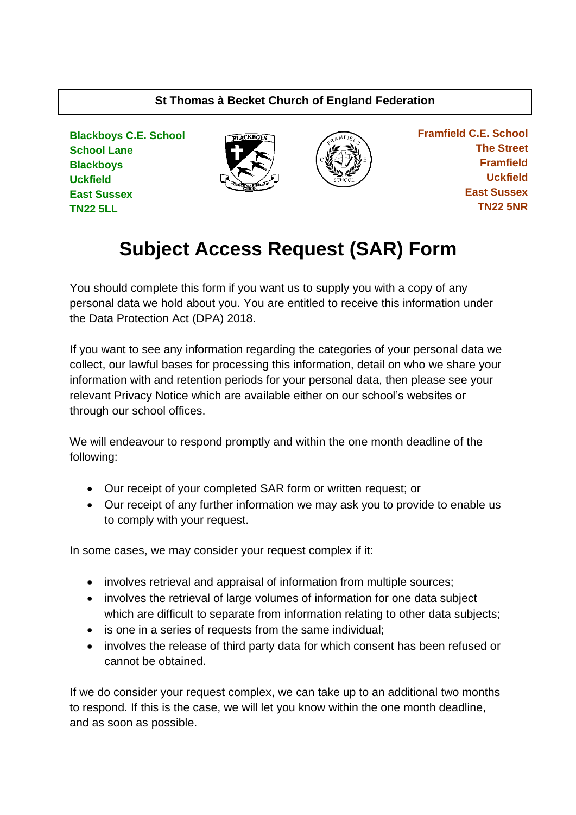# **St Thomas à Becket Church of England Federation**

**Blackboys C.E. School School Lane Blackboys Uckfield East Sussex TN22 5LL**





 **Framfield C.E. School The Street Framfield Uckfield East Sussex TN22 5NR**

# **Subject Access Request (SAR) Form**

You should complete this form if you want us to supply you with a copy of any personal data we hold about you. You are entitled to receive this information under the Data Protection Act (DPA) 2018.

If you want to see any information regarding the categories of your personal data we collect, our lawful bases for processing this information, detail on who we share your information with and retention periods for your personal data, then please see your relevant Privacy Notice which are available either on our school's websites or through our school offices.

We will endeavour to respond promptly and within the one month deadline of the following:

- Our receipt of your completed SAR form or written request; or
- Our receipt of any further information we may ask you to provide to enable us to comply with your request.

In some cases, we may consider your request complex if it:

- involves retrieval and appraisal of information from multiple sources;
- involves the retrieval of large volumes of information for one data subject which are difficult to separate from information relating to other data subjects;
- is one in a series of requests from the same individual;
- involves the release of third party data for which consent has been refused or cannot be obtained.

If we do consider your request complex, we can take up to an additional two months to respond. If this is the case, we will let you know within the one month deadline, and as soon as possible.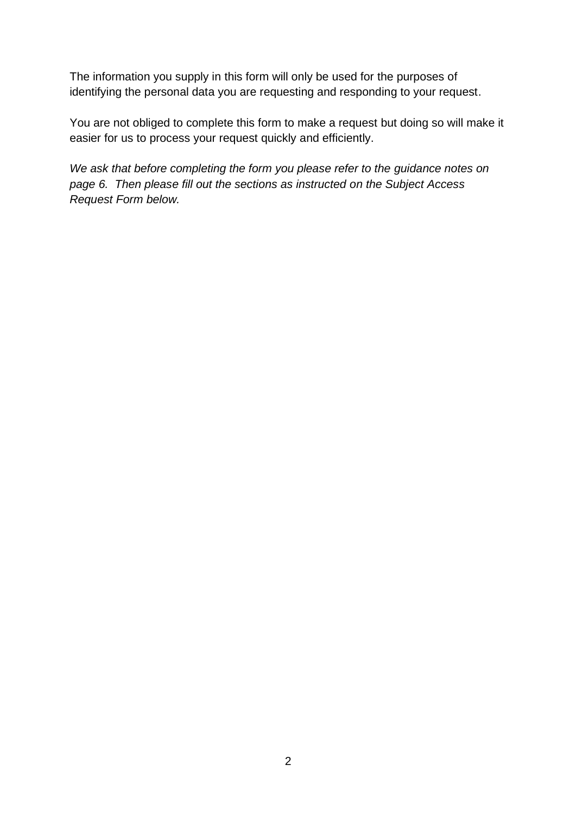The information you supply in this form will only be used for the purposes of identifying the personal data you are requesting and responding to your request.

You are not obliged to complete this form to make a request but doing so will make it easier for us to process your request quickly and efficiently.

*We ask that before completing the form you please refer to the guidance notes on page 6. Then please fill out the sections as instructed on the Subject Access Request Form below.*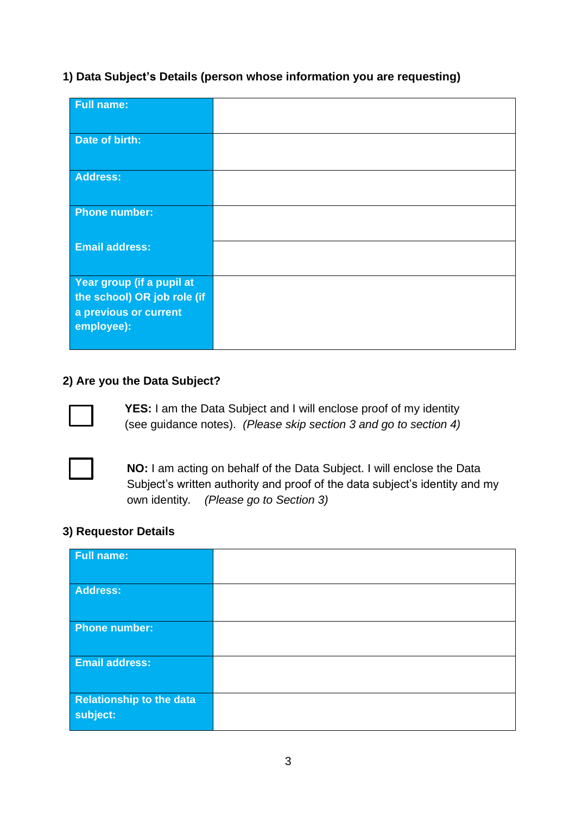#### **1) Data Subject's Details (person whose information you are requesting)**

| <b>Full name:</b>                   |  |
|-------------------------------------|--|
| Date of birth:                      |  |
| Address:                            |  |
| <b>Phone number:</b>                |  |
| <b>Email address:</b>               |  |
| Year group (if a pupil at           |  |
| the school) OR job role (if         |  |
| a previous or current<br>employee): |  |
|                                     |  |

#### **2) Are you the Data Subject?**



**YES:** I am the Data Subject and I will enclose proof of my identity (see guidance notes). *(Please skip section 3 and go to section 4)*



**NO:** I am acting on behalf of the Data Subject. I will enclose the Data Subject's written authority and proof of the data subject's identity and my own identity*. (Please go to Section 3)*

#### **3) Requestor Details**

| <b>Full name:</b>                           |  |
|---------------------------------------------|--|
| <b>Address:</b>                             |  |
| <b>Phone number:</b>                        |  |
| Email address:                              |  |
| <b>Relationship to the data</b><br>subject: |  |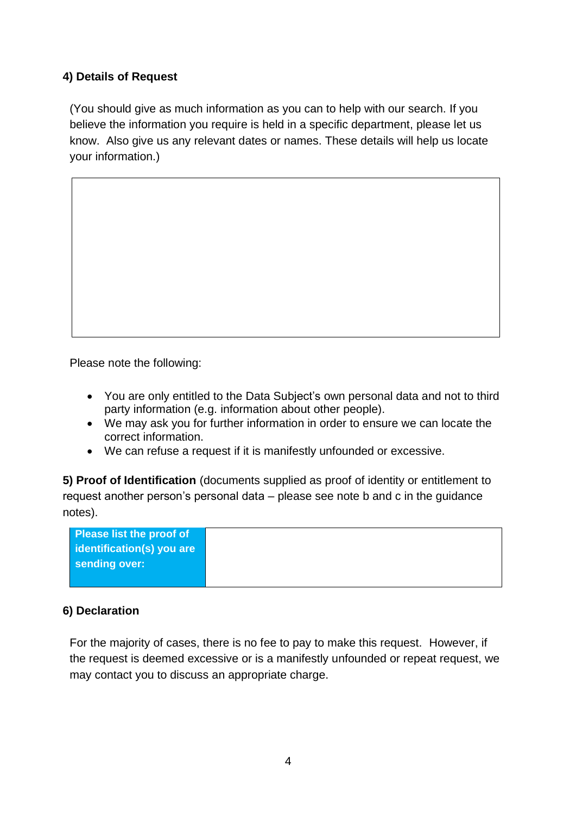#### **4) Details of Request**

(You should give as much information as you can to help with our search. If you believe the information you require is held in a specific department, please let us know. Also give us any relevant dates or names. These details will help us locate your information.)

Please note the following:

- You are only entitled to the Data Subject's own personal data and not to third party information (e.g. information about other people).
- We may ask you for further information in order to ensure we can locate the correct information.
- We can refuse a request if it is manifestly unfounded or excessive.

**5) Proof of Identification** (documents supplied as proof of identity or entitlement to request another person's personal data – please see note b and c in the guidance notes).

| <b>Please list the proof of</b> |
|---------------------------------|
| identification(s) you are       |
| sending over:                   |
|                                 |

#### **6) Declaration**

For the majority of cases, there is no fee to pay to make this request. However, if the request is deemed excessive or is a manifestly unfounded or repeat request, we may contact you to discuss an appropriate charge.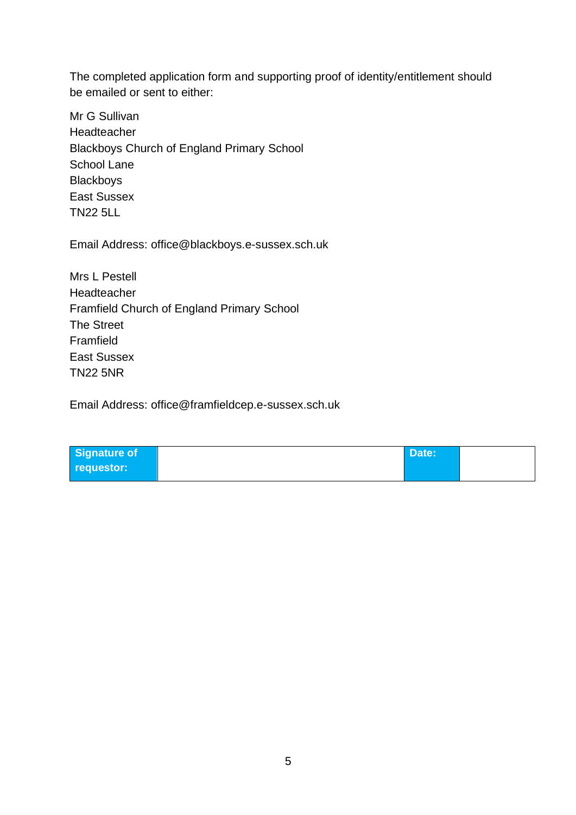The completed application form and supporting proof of identity/entitlement should be emailed or sent to either:

Mr G Sullivan Headteacher Blackboys Church of England Primary School School Lane **Blackboys** East Sussex TN22 5LL

Email Address: [office@blackboys.e-sussex.sch.uk](mailto:office@blackboys.e-sussex.sch.uk)

Mrs L Pestell Headteacher Framfield Church of England Primary School The Street Framfield East Sussex TN22 5NR

Email Address: [office@framfieldcep.e-sussex.sch.uk](mailto:office@framfieldcep.e-sussex.sch.uk)

| Signature of | Date: |  |
|--------------|-------|--|
| requestor:   |       |  |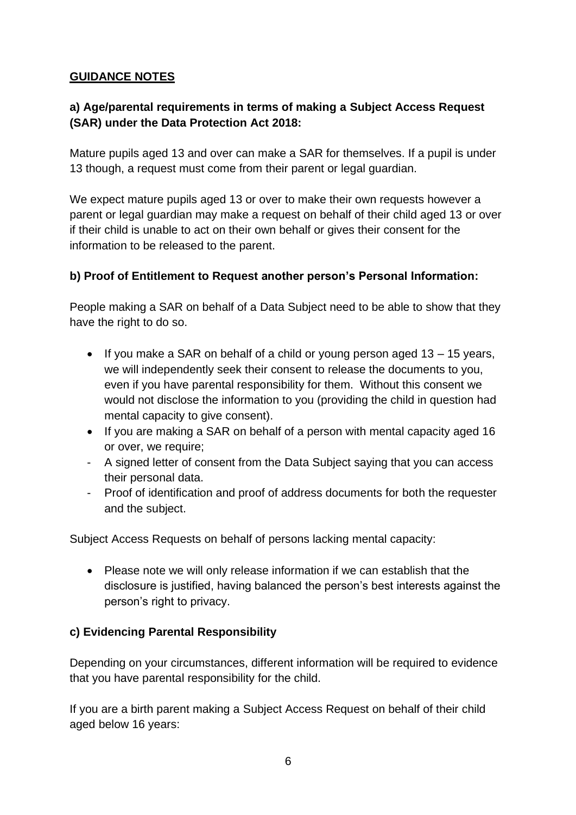# **GUIDANCE NOTES**

# **a) Age/parental requirements in terms of making a Subject Access Request (SAR) under the Data Protection Act 2018:**

Mature pupils aged 13 and over can make a SAR for themselves. If a pupil is under 13 though, a request must come from their parent or legal guardian.

We expect mature pupils aged 13 or over to make their own requests however a parent or legal guardian may make a request on behalf of their child aged 13 or over if their child is unable to act on their own behalf or gives their consent for the information to be released to the parent.

# **b) Proof of Entitlement to Request another person's Personal Information:**

People making a SAR on behalf of a Data Subject need to be able to show that they have the right to do so.

- If you make a SAR on behalf of a child or young person aged 13 15 years, we will independently seek their consent to release the documents to you, even if you have parental responsibility for them. Without this consent we would not disclose the information to you (providing the child in question had mental capacity to give consent).
- If you are making a SAR on behalf of a person with mental capacity aged 16 or over, we require;
- A signed letter of consent from the Data Subject saying that you can access their personal data.
- Proof of identification and proof of address documents for both the requester and the subject.

Subject Access Requests on behalf of persons lacking mental capacity:

• Please note we will only release information if we can establish that the disclosure is justified, having balanced the person's best interests against the person's right to privacy.

# **c) Evidencing Parental Responsibility**

Depending on your circumstances, different information will be required to evidence that you have parental responsibility for the child.

If you are a birth parent making a Subject Access Request on behalf of their child aged below 16 years: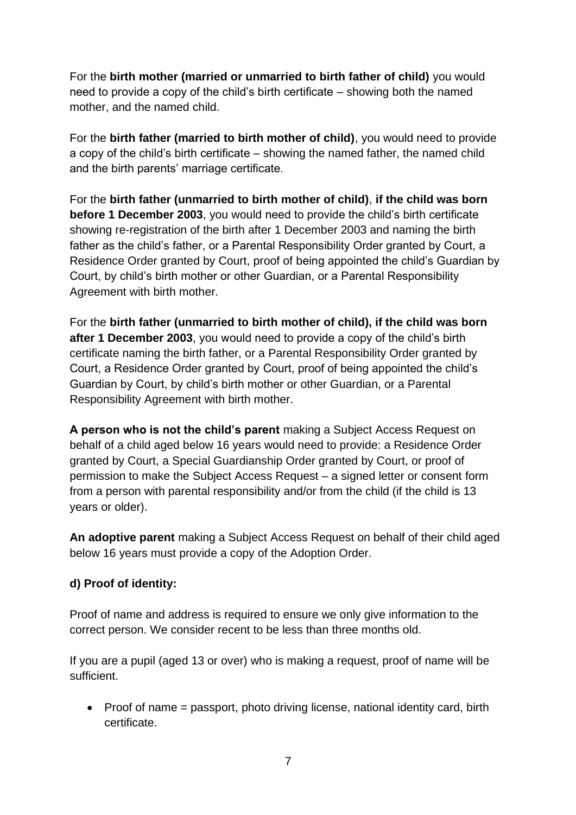For the **birth mother (married or unmarried to birth father of child)** you would need to provide a copy of the child's birth certificate – showing both the named mother, and the named child.

For the **birth father (married to birth mother of child)**, you would need to provide a copy of the child's birth certificate – showing the named father, the named child and the birth parents' marriage certificate.

For the **birth father (unmarried to birth mother of child)**, **if the child was born before 1 December 2003**, you would need to provide the child's birth certificate showing re-registration of the birth after 1 December 2003 and naming the birth father as the child's father, or a Parental Responsibility Order granted by Court, a Residence Order granted by Court, proof of being appointed the child's Guardian by Court, by child's birth mother or other Guardian, or a Parental Responsibility Agreement with birth mother.

For the **birth father (unmarried to birth mother of child), if the child was born after 1 December 2003**, you would need to provide a copy of the child's birth certificate naming the birth father, or a Parental Responsibility Order granted by Court, a Residence Order granted by Court, proof of being appointed the child's Guardian by Court, by child's birth mother or other Guardian, or a Parental Responsibility Agreement with birth mother.

**A person who is not the child's parent** making a Subject Access Request on behalf of a child aged below 16 years would need to provide: a Residence Order granted by Court, a Special Guardianship Order granted by Court, or proof of permission to make the Subject Access Request – a signed letter or consent form from a person with parental responsibility and/or from the child (if the child is 13 years or older).

**An adoptive parent** making a Subject Access Request on behalf of their child aged below 16 years must provide a copy of the Adoption Order.

#### **d) Proof of identity:**

Proof of name and address is required to ensure we only give information to the correct person. We consider recent to be less than three months old.

If you are a pupil (aged 13 or over) who is making a request, proof of name will be sufficient.

• Proof of name = passport, photo driving license, national identity card, birth certificate.